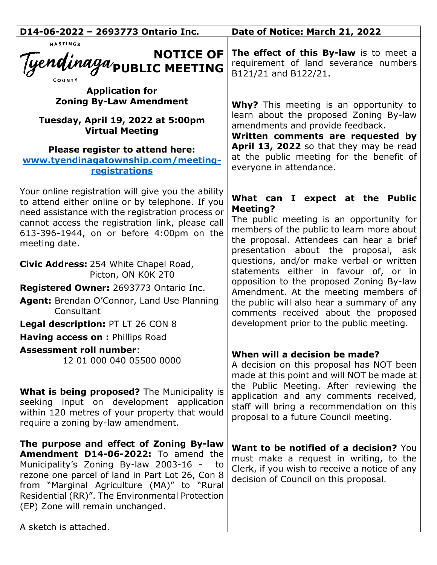| D14-06-2022 - 2693773 Ontario Inc.                                                                                                                                                                                                                                                                                                              | Date of Notice: March 21, 2022                                                                                                                                                                                                                                                                          |
|-------------------------------------------------------------------------------------------------------------------------------------------------------------------------------------------------------------------------------------------------------------------------------------------------------------------------------------------------|---------------------------------------------------------------------------------------------------------------------------------------------------------------------------------------------------------------------------------------------------------------------------------------------------------|
| HASTINGS<br>NOTICE OF<br>Tyendinaga <sub>public</sub> Meeting                                                                                                                                                                                                                                                                                   | The effect of this By-law is to meet a<br>requirement of land severance numbers<br>B121/21 and B122/21.                                                                                                                                                                                                 |
| <b>Application for</b><br><b>Zoning By-Law Amendment</b>                                                                                                                                                                                                                                                                                        | <b>Why?</b> This meeting is an opportunity to                                                                                                                                                                                                                                                           |
| Tuesday, April 19, 2022 at 5:00pm<br><b>Virtual Meeting</b>                                                                                                                                                                                                                                                                                     | learn about the proposed Zoning By-law<br>amendments and provide feedback.<br>Written comments are requested by                                                                                                                                                                                         |
| Please register to attend here:<br>www.tyendinagatownship.com/meeting-<br>registrations                                                                                                                                                                                                                                                         | April 13, 2022 so that they may be read<br>at the public meeting for the benefit of<br>everyone in attendance.                                                                                                                                                                                          |
| Your online registration will give you the ability<br>to attend either online or by telephone. If you<br>need assistance with the registration process or<br>cannot access the registration link, please call<br>613-396-1944, on or before 4:00pm on the<br>meeting date.                                                                      | What can I expect at the Public<br><b>Meeting?</b><br>The public meeting is an opportunity for<br>members of the public to learn more about<br>the proposal. Attendees can hear a brief<br>presentation about the proposal, ask                                                                         |
| Civic Address: 254 White Chapel Road,<br>Picton, ON K0K 2T0<br>Registered Owner: 2693773 Ontario Inc.<br>Agent: Brendan O'Connor, Land Use Planning<br>Consultant<br><b>Legal description: PT LT 26 CON 8</b><br><b>Having access on : Phillips Road</b>                                                                                        | questions, and/or make verbal or written<br>statements either in favour of, or in<br>opposition to the proposed Zoning By-law<br>Amendment. At the meeting members of<br>the public will also hear a summary of any<br>comments received about the proposed<br>development prior to the public meeting. |
| <b>Assessment roll number:</b><br>12 01 000 040 05500 0000                                                                                                                                                                                                                                                                                      | When will a decision be made?<br>A decision on this proposal has NOT been<br>made at this point and will NOT be made at<br>the Public Meeting. After reviewing the                                                                                                                                      |
| <b>What is being proposed?</b> The Municipality is<br>seeking input on development application<br>within 120 metres of your property that would<br>require a zoning by-law amendment.                                                                                                                                                           | application and any comments received,<br>staff will bring a recommendation on this<br>proposal to a future Council meeting.                                                                                                                                                                            |
| The purpose and effect of Zoning By-law<br>Amendment D14-06-2022: To amend the<br>Municipality's Zoning By-law 2003-16 -<br>to<br>rezone one parcel of land in Part Lot 26, Con 8<br>from "Marginal Agriculture (MA)" to "Rural<br>Residential (RR)". The Environmental Protection<br>(EP) Zone will remain unchanged.<br>A sketch is attached. | <b>Want to be notified of a decision?</b> You<br>must make a request in writing, to the<br>Clerk, if you wish to receive a notice of any<br>decision of Council on this proposal.                                                                                                                       |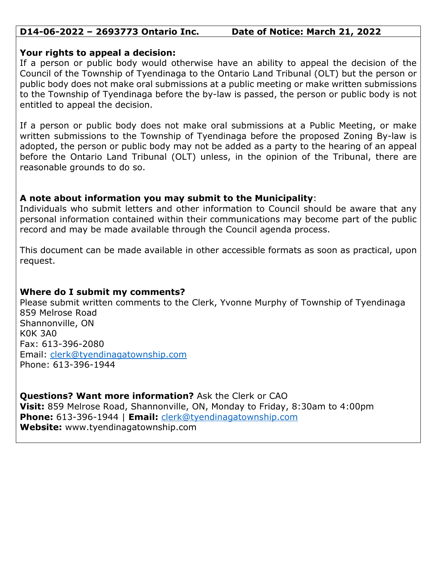### **D14-06-2022 – 2693773 Ontario Inc. Date of Notice: March 21, 2022**

#### **Your rights to appeal a decision:**

If a person or public body would otherwise have an ability to appeal the decision of the Council of the Township of Tyendinaga to the Ontario Land Tribunal (OLT) but the person or public body does not make oral submissions at a public meeting or make written submissions to the Township of Tyendinaga before the by-law is passed, the person or public body is not entitled to appeal the decision.

If a person or public body does not make oral submissions at a Public Meeting, or make written submissions to the Township of Tyendinaga before the proposed Zoning By-law is adopted, the person or public body may not be added as a party to the hearing of an appeal before the Ontario Land Tribunal (OLT) unless, in the opinion of the Tribunal, there are reasonable grounds to do so.

## **A note about information you may submit to the Municipality**:

Individuals who submit letters and other information to Council should be aware that any personal information contained within their communications may become part of the public record and may be made available through the Council agenda process.

This document can be made available in other accessible formats as soon as practical, upon request.

# **Where do I submit my comments?**

Please submit written comments to the Clerk, Yvonne Murphy of Township of Tyendinaga 859 Melrose Road Shannonville, ON K0K 3A0 Fax: 613-396-2080 Email: [clerk@tyendinagatownship.com](mailto:clerk@tyendinagatownship.com) Phone: 613-396-1944

**Questions? Want more information?** Ask the Clerk or CAO **Visit:** 859 Melrose Road, Shannonville, ON, Monday to Friday, 8:30am to 4:00pm **Phone:** 613-396-1944 | **Email:** [clerk@tyendinagatownship.com](mailto:clerk@tyendinagatownship.com) **Website:** www.tyendinagatownship.com